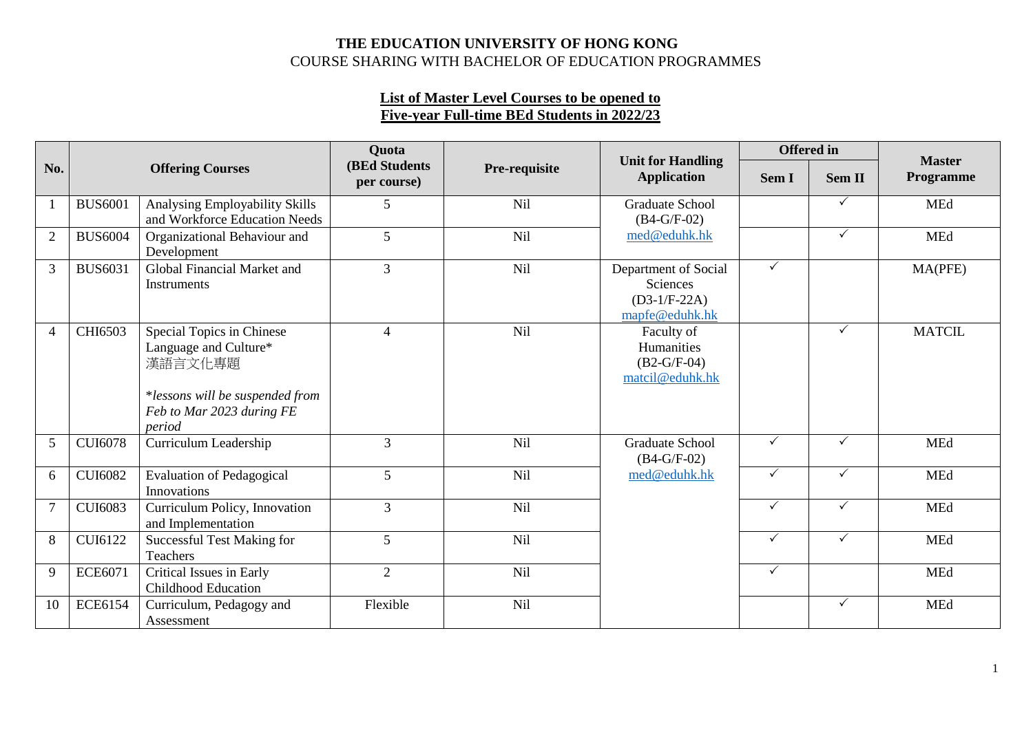## **THE EDUCATION UNIVERSITY OF HONG KONG**  COURSE SHARING WITH BACHELOR OF EDUCATION PROGRAMMES

## **List of Master Level Courses to be opened to Five-year Full-time BEd Students in 2022/23**

|                |                |                                                                                                                                         | <b>Quota</b>                         |               |                                                                      | <b>Offered</b> in |              | <b>Master</b> |
|----------------|----------------|-----------------------------------------------------------------------------------------------------------------------------------------|--------------------------------------|---------------|----------------------------------------------------------------------|-------------------|--------------|---------------|
| No.            |                | <b>Offering Courses</b>                                                                                                                 | <b>(BEd Students)</b><br>per course) | Pre-requisite | <b>Unit for Handling</b><br><b>Application</b>                       | Sem I             | Sem II       | Programme     |
| $\mathbf{1}$   | <b>BUS6001</b> | Analysing Employability Skills<br>and Workforce Education Needs                                                                         | 5                                    | Nil           | <b>Graduate School</b><br>$(B4-G/F-02)$                              |                   | $\checkmark$ | <b>MEd</b>    |
| $\overline{2}$ | <b>BUS6004</b> | Organizational Behaviour and<br>Development                                                                                             | 5                                    | Nil           | med@eduhk.hk                                                         |                   | $\checkmark$ | <b>MEd</b>    |
| 3              | <b>BUS6031</b> | Global Financial Market and<br>Instruments                                                                                              | $\overline{3}$                       | Nil           | Department of Social<br>Sciences<br>$(D3-1/F-22A)$<br>mapfe@eduhk.hk | ✓                 |              | MA(PFE)       |
| $\overline{4}$ | CHI6503        | Special Topics in Chinese<br>Language and Culture*<br>漢語言文化專題<br>*lessons will be suspended from<br>Feb to Mar 2023 during FE<br>period | $\overline{4}$                       | Nil           | Faculty of<br>Humanities<br>$(B2-G/F-04)$<br>matcil@eduhk.hk         |                   | $\checkmark$ | <b>MATCIL</b> |
| 5              | <b>CUI6078</b> | Curriculum Leadership                                                                                                                   | $\overline{3}$                       | Nil           | <b>Graduate School</b><br>$(B4-G/F-02)$                              | ✓                 | $\checkmark$ | <b>MEd</b>    |
| 6              | <b>CUI6082</b> | <b>Evaluation of Pedagogical</b><br>Innovations                                                                                         | 5                                    | Nil           | med@eduhk.hk                                                         | ✓                 | $\checkmark$ | <b>MEd</b>    |
| $\overline{7}$ | <b>CUI6083</b> | Curriculum Policy, Innovation<br>and Implementation                                                                                     | $\overline{3}$                       | Nil           |                                                                      | ✓                 | $\checkmark$ | <b>MEd</b>    |
| $8\,$          | <b>CUI6122</b> | <b>Successful Test Making for</b><br>Teachers                                                                                           | 5                                    | Nil           |                                                                      | ✓                 | $\checkmark$ | <b>MEd</b>    |
| 9              | <b>ECE6071</b> | Critical Issues in Early<br><b>Childhood Education</b>                                                                                  | $\overline{2}$                       | Nil           |                                                                      | $\checkmark$      |              | <b>MEd</b>    |
| 10             | <b>ECE6154</b> | Curriculum, Pedagogy and<br>Assessment                                                                                                  | Flexible                             | <b>Nil</b>    |                                                                      |                   | $\checkmark$ | <b>MEd</b>    |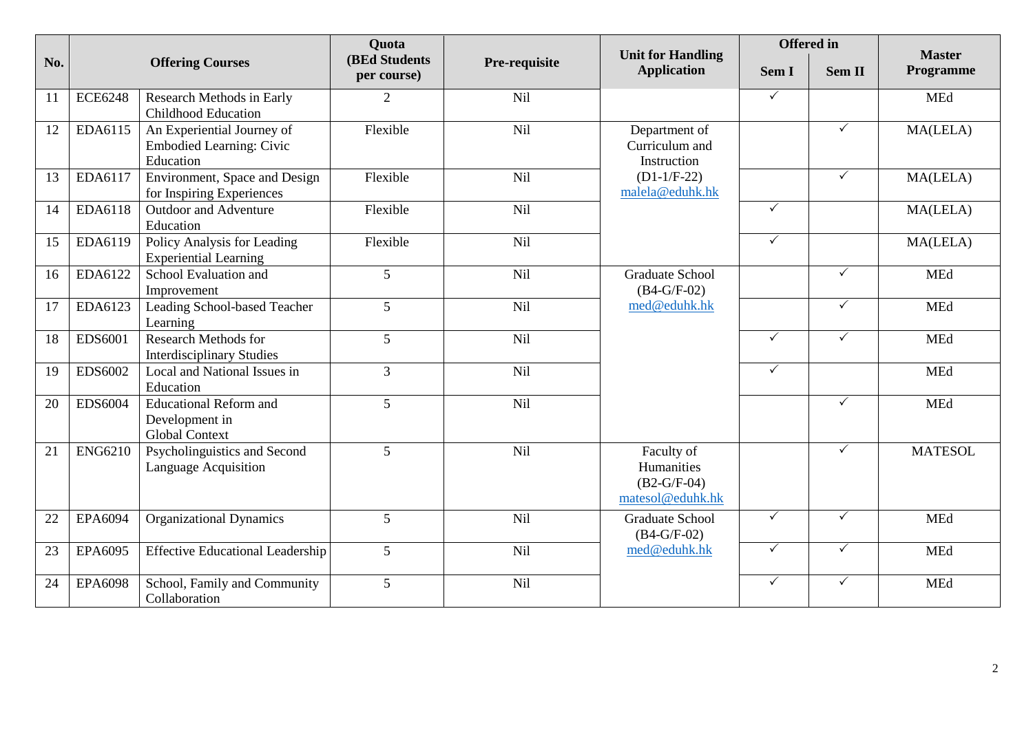|     |                |                                                                            | Quota                                |               |                                                               | <b>Offered</b> in |              | <b>Master</b>  |
|-----|----------------|----------------------------------------------------------------------------|--------------------------------------|---------------|---------------------------------------------------------------|-------------------|--------------|----------------|
| No. |                | <b>Offering Courses</b>                                                    | <b>(BEd Students)</b><br>per course) | Pre-requisite | <b>Unit for Handling</b><br><b>Application</b>                | Sem I             | Sem II       | Programme      |
| 11  | <b>ECE6248</b> | Research Methods in Early<br><b>Childhood Education</b>                    | $\overline{2}$                       | <b>Nil</b>    |                                                               | $\checkmark$      |              | <b>MEd</b>     |
| 12  | EDA6115        | An Experiential Journey of<br><b>Embodied Learning: Civic</b><br>Education | Flexible                             | <b>Nil</b>    | Department of<br>Curriculum and<br>Instruction                |                   | $\checkmark$ | MA(LELA)       |
| 13  | EDA6117        | Environment, Space and Design<br>for Inspiring Experiences                 | Flexible                             | <b>Nil</b>    | $(D1-1/F-22)$<br>malela@eduhk.hk                              |                   | $\checkmark$ | MA(LELA)       |
| 14  | EDA6118        | Outdoor and Adventure<br>Education                                         | Flexible                             | Nil           |                                                               | $\checkmark$      |              | MA(LELA)       |
| 15  | EDA6119        | Policy Analysis for Leading<br><b>Experiential Learning</b>                | Flexible                             | Nil           |                                                               | $\checkmark$      |              | MA(LELA)       |
| 16  | EDA6122        | School Evaluation and<br>Improvement                                       | 5                                    | Nil           | <b>Graduate School</b><br>$(B4-G/F-02)$                       |                   | ✓            | <b>MEd</b>     |
| 17  | EDA6123        | Leading School-based Teacher<br>Learning                                   | 5                                    | Nil           | med@eduhk.hk                                                  |                   | $\checkmark$ | MEd            |
| 18  | EDS6001        | <b>Research Methods for</b><br><b>Interdisciplinary Studies</b>            | 5                                    | Nil           |                                                               | $\checkmark$      | $\checkmark$ | <b>MEd</b>     |
| 19  | EDS6002        | Local and National Issues in<br>Education                                  | $\overline{3}$                       | Nil           |                                                               | $\checkmark$      |              | <b>MEd</b>     |
| 20  | <b>EDS6004</b> | <b>Educational Reform and</b><br>Development in<br><b>Global Context</b>   | 5                                    | Nil           |                                                               |                   | $\checkmark$ | <b>MEd</b>     |
| 21  | <b>ENG6210</b> | Psycholinguistics and Second<br>Language Acquisition                       | 5                                    | Nil           | Faculty of<br>Humanities<br>$(B2-G/F-04)$<br>matesol@eduhk.hk |                   | $\checkmark$ | <b>MATESOL</b> |
| 22  | EPA6094        | <b>Organizational Dynamics</b>                                             | 5                                    | Nil           | <b>Graduate School</b><br>$(B4-G/F-02)$                       | $\checkmark$      | $\checkmark$ | <b>MEd</b>     |
| 23  | EPA6095        | <b>Effective Educational Leadership</b>                                    | 5                                    | Nil           | med@eduhk.hk                                                  | $\checkmark$      | $\checkmark$ | MEd            |
| 24  | <b>EPA6098</b> | School, Family and Community<br>Collaboration                              | 5                                    | Nil           |                                                               | $\checkmark$      | $\checkmark$ | <b>MEd</b>     |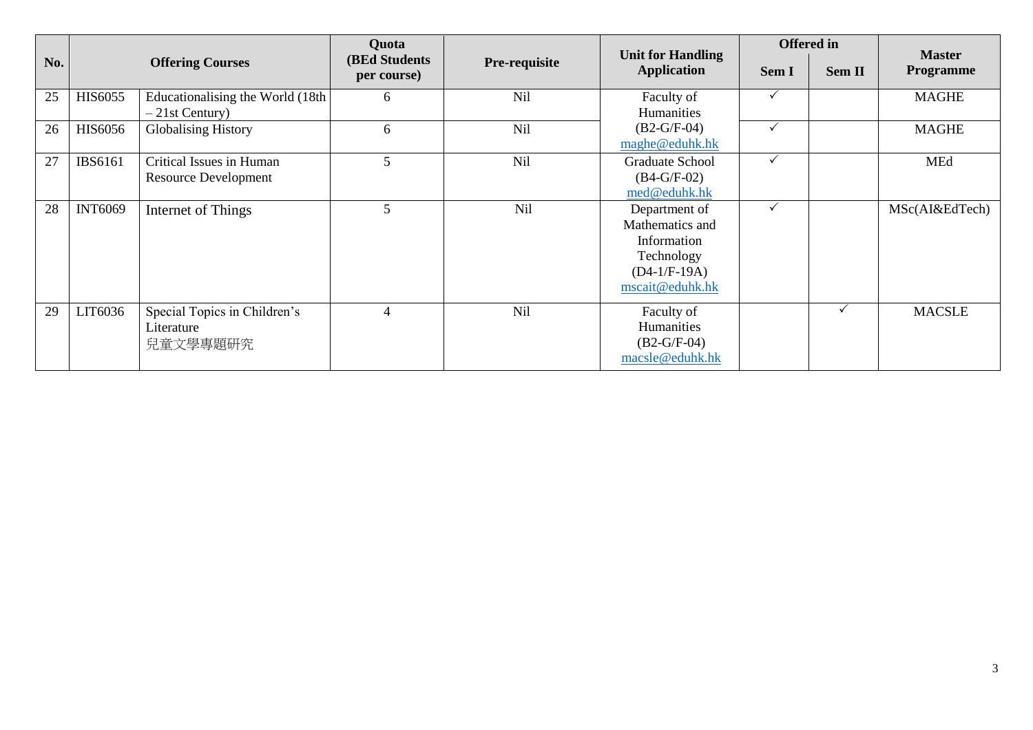|     |                |                                                         |                                      | Quota         |                                                                                                    | <b>Offered</b> in |              |                                   |
|-----|----------------|---------------------------------------------------------|--------------------------------------|---------------|----------------------------------------------------------------------------------------------------|-------------------|--------------|-----------------------------------|
| No. |                | <b>Offering Courses</b>                                 | <b>(BEd Students)</b><br>per course) | Pre-requisite | <b>Unit for Handling</b><br><b>Application</b>                                                     | Sem I             | Sem II       | <b>Master</b><br><b>Programme</b> |
| 25  | <b>HIS6055</b> | Educationalising the World (18th<br>$-21st Century)$    | 6                                    | <b>Nil</b>    | Faculty of<br>Humanities                                                                           |                   |              | <b>MAGHE</b>                      |
| 26  | <b>HIS6056</b> | <b>Globalising History</b>                              | 6                                    | Nil           | $(B2-G/F-04)$<br>maghe@eduhk.hk                                                                    |                   |              | <b>MAGHE</b>                      |
| 27  | <b>IBS6161</b> | Critical Issues in Human<br><b>Resource Development</b> | 5                                    | Nil           | Graduate School<br>$(B4-G/F-02)$<br>med@eduhk.hk                                                   | $\checkmark$      |              | MEd                               |
| 28  | <b>INT6069</b> | Internet of Things                                      | 5                                    | Nil           | Department of<br>Mathematics and<br>Information<br>Technology<br>$(D4-1/F-19A)$<br>mscait@eduhk.hk |                   |              | MSc(AI&EdTech)                    |
| 29  | LIT6036        | Special Topics in Children's<br>Literature<br>兒童文學專題研究  | 4                                    | Nil           | Faculty of<br>Humanities<br>$(B2-G/F-04)$<br>macsle@eduhk.hk                                       |                   | $\checkmark$ | <b>MACSLE</b>                     |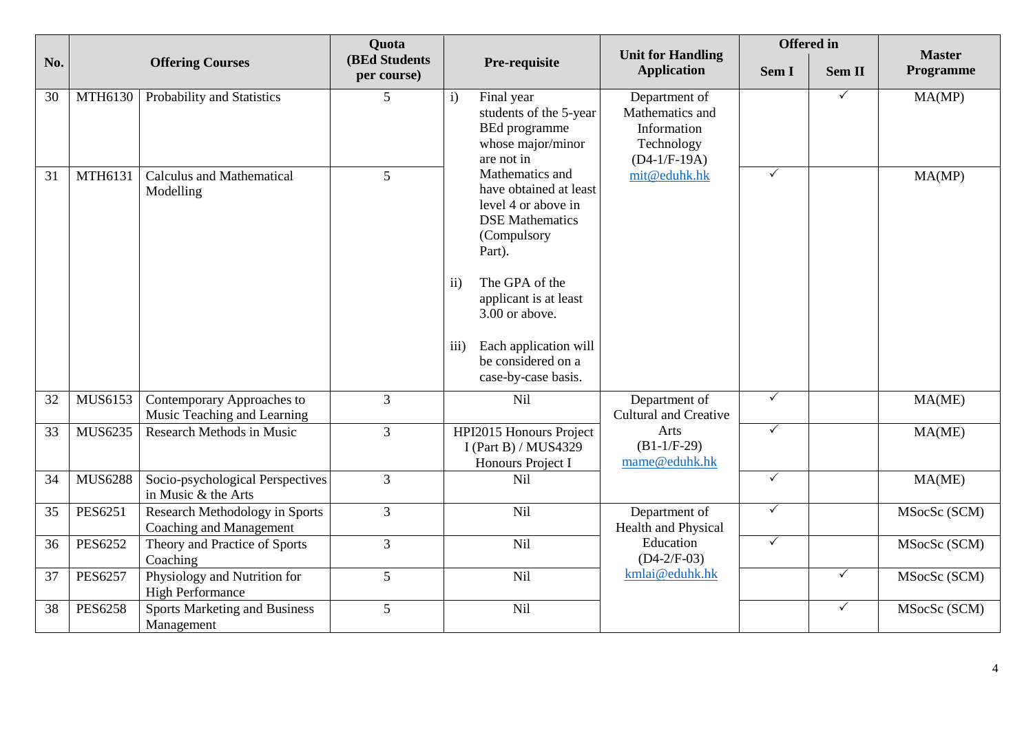|     |                |                                                           | <b>Quota</b>                         |                                                                                                                                                                                                                                                                                             |                                                                                 | <b>Offered</b> in |               |                            |
|-----|----------------|-----------------------------------------------------------|--------------------------------------|---------------------------------------------------------------------------------------------------------------------------------------------------------------------------------------------------------------------------------------------------------------------------------------------|---------------------------------------------------------------------------------|-------------------|---------------|----------------------------|
| No. |                | <b>Offering Courses</b>                                   | <b>(BEd Students)</b><br>per course) | Pre-requisite                                                                                                                                                                                                                                                                               | <b>Unit for Handling</b><br><b>Application</b>                                  | Sem I             | <b>Sem II</b> | <b>Master</b><br>Programme |
| 30  | <b>MTH6130</b> | Probability and Statistics                                | 5                                    | Final year<br>$\mathbf{i}$<br>students of the 5-year<br><b>BEd</b> programme<br>whose major/minor<br>are not in                                                                                                                                                                             | Department of<br>Mathematics and<br>Information<br>Technology<br>$(D4-1/F-19A)$ |                   | $\checkmark$  | MA(MP)                     |
| 31  | MTH6131        | <b>Calculus and Mathematical</b><br>Modelling             | 5                                    | Mathematics and<br>have obtained at least<br>level 4 or above in<br><b>DSE</b> Mathematics<br>(Compulsory<br>Part).<br>The GPA of the<br>$\mathbf{ii}$<br>applicant is at least<br>3.00 or above.<br>Each application will<br>$\overline{111}$<br>be considered on a<br>case-by-case basis. | mit@eduhk.hk                                                                    | $\checkmark$      |               | MA(MP)                     |
| 32  | MUS6153        | Contemporary Approaches to<br>Music Teaching and Learning | $\overline{3}$                       | Nil                                                                                                                                                                                                                                                                                         | Department of<br><b>Cultural and Creative</b>                                   | $\checkmark$      |               | MA(ME)                     |
| 33  | MUS6235        | <b>Research Methods in Music</b>                          | $\overline{3}$                       | HPI2015 Honours Project<br>I (Part B) / MUS4329<br>Honours Project I                                                                                                                                                                                                                        | Arts<br>$(B1-1/F-29)$<br>mame@eduhk.hk                                          | $\checkmark$      |               | MA(ME)                     |
| 34  | <b>MUS6288</b> | Socio-psychological Perspectives<br>in Music & the Arts   | $\overline{3}$                       | Nil                                                                                                                                                                                                                                                                                         |                                                                                 | $\checkmark$      |               | MA(ME)                     |
| 35  | <b>PES6251</b> | Research Methodology in Sports<br>Coaching and Management | $\overline{3}$                       | Nil                                                                                                                                                                                                                                                                                         | Department of<br>Health and Physical                                            | $\checkmark$      |               | MSocSc (SCM)               |
| 36  | <b>PES6252</b> | Theory and Practice of Sports<br>Coaching                 | $\overline{3}$                       | <b>Nil</b>                                                                                                                                                                                                                                                                                  | Education<br>$(D4-2/F-03)$                                                      | $\checkmark$      |               | MSocSc (SCM)               |
| 37  | <b>PES6257</b> | Physiology and Nutrition for<br><b>High Performance</b>   | 5                                    | Nil                                                                                                                                                                                                                                                                                         | kmlai@eduhk.hk                                                                  |                   | $\checkmark$  | MSocSc (SCM)               |
| 38  | <b>PES6258</b> | <b>Sports Marketing and Business</b><br>Management        | 5                                    | Nil                                                                                                                                                                                                                                                                                         |                                                                                 |                   | $\checkmark$  | MSocSc (SCM)               |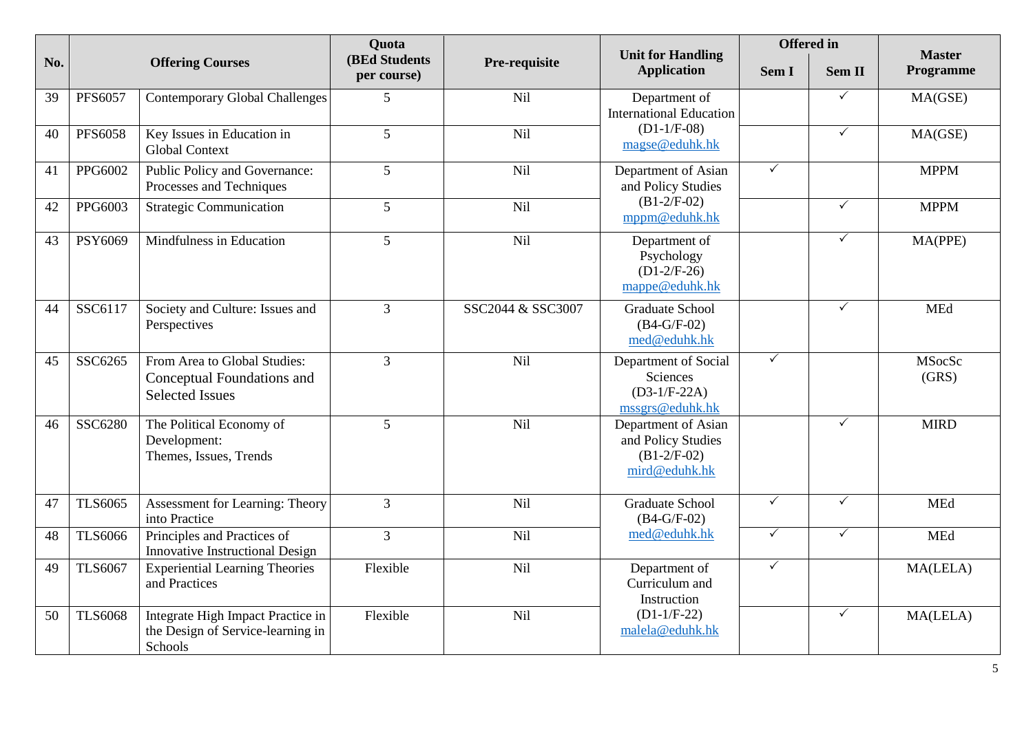|     |                | <b>Quota</b>                                                                         |                                      |                   | <b>Offered</b> in                                                           |              | <b>Master</b> |                 |
|-----|----------------|--------------------------------------------------------------------------------------|--------------------------------------|-------------------|-----------------------------------------------------------------------------|--------------|---------------|-----------------|
| No. |                | <b>Offering Courses</b>                                                              | <b>(BEd Students)</b><br>per course) | Pre-requisite     | <b>Unit for Handling</b><br><b>Application</b>                              | Sem I        | Sem II        | Programme       |
| 39  | <b>PFS6057</b> | <b>Contemporary Global Challenges</b>                                                | 5                                    | Nil               | Department of<br><b>International Education</b>                             |              | $\checkmark$  | MA(GSE)         |
| 40  | <b>PFS6058</b> | Key Issues in Education in<br><b>Global Context</b>                                  | $5\overline{)}$                      | Nil               | $(D1-1/F-08)$<br>magse@eduhk.hk                                             |              | $\checkmark$  | MA(GSE)         |
| 41  | PPG6002        | Public Policy and Governance:<br>Processes and Techniques                            | $\overline{5}$                       | Nil               | Department of Asian<br>and Policy Studies                                   | $\checkmark$ |               | <b>MPPM</b>     |
| 42  | PPG6003        | <b>Strategic Communication</b>                                                       | 5                                    | Nil               | $(B1-2/F-02)$<br>mppm@eduhk.hk                                              |              | $\checkmark$  | <b>MPPM</b>     |
| 43  | PSY6069        | Mindfulness in Education                                                             | 5                                    | Nil               | Department of<br>Psychology<br>$(D1-2/F-26)$<br>mappe@eduhk.hk              |              | $\checkmark$  | MA(PPE)         |
| 44  | SSC6117        | Society and Culture: Issues and<br>Perspectives                                      | 3                                    | SSC2044 & SSC3007 | Graduate School<br>$(B4-G/F-02)$<br>med@eduhk.hk                            |              | $\checkmark$  | <b>MEd</b>      |
| 45  | SSC6265        | From Area to Global Studies:<br>Conceptual Foundations and<br><b>Selected Issues</b> | $\overline{3}$                       | Nil               | Department of Social<br>Sciences<br>$(D3-1/F-22A)$<br>mssgrs@eduhk.hk       | $\checkmark$ |               | MSocSc<br>(GRS) |
| 46  | SSC6280        | The Political Economy of<br>Development:<br>Themes, Issues, Trends                   | 5                                    | Nil               | Department of Asian<br>and Policy Studies<br>$(B1-2/F-02)$<br>mird@eduhk.hk |              | $\checkmark$  | <b>MIRD</b>     |
| 47  | <b>TLS6065</b> | Assessment for Learning: Theory<br>into Practice                                     | $\overline{3}$                       | Nil               | <b>Graduate School</b><br>$(B4-G/F-02)$                                     | $\checkmark$ | $\checkmark$  | <b>MEd</b>      |
| 48  | <b>TLS6066</b> | Principles and Practices of<br><b>Innovative Instructional Design</b>                | $\overline{3}$                       | Nil               | med@eduhk.hk                                                                | $\checkmark$ | $\checkmark$  | MEd             |
| 49  | <b>TLS6067</b> | <b>Experiential Learning Theories</b><br>and Practices                               | Flexible                             | Nil               | Department of<br>Curriculum and<br>Instruction                              | $\checkmark$ |               | MA(LELA)        |
| 50  | <b>TLS6068</b> | Integrate High Impact Practice in<br>the Design of Service-learning in<br>Schools    | Flexible                             | Nil               | $(D1-1/F-22)$<br>malela@eduhk.hk                                            |              | $\checkmark$  | MA(LELA)        |